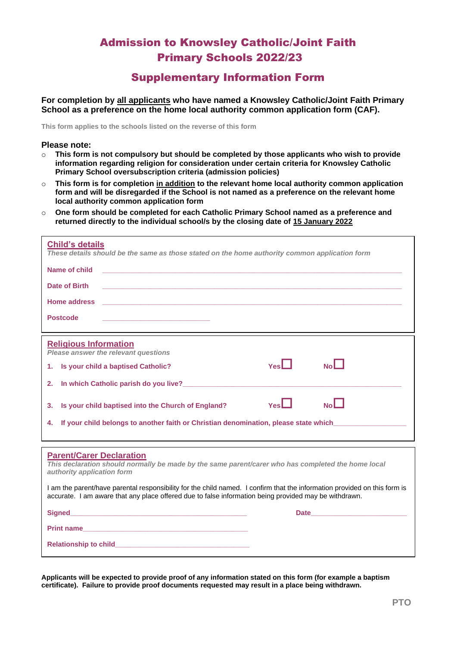## Admission to Knowsley Catholic/Joint Faith Primary Schools 2022/23

## Supplementary Information Form

**For completion by all applicants who have named a Knowsley Catholic/Joint Faith Primary School as a preference on the home local authority common application form (CAF).**

**This form applies to the schools listed on the reverse of this form**

## **Please note:**

- o **This form is not compulsory but should be completed by those applicants who wish to provide information regarding religion for consideration under certain criteria for Knowsley Catholic Primary School oversubscription criteria (admission policies)**
- o **This form is for completion in addition to the relevant home local authority common application form and will be disregarded if the School is not named as a preference on the relevant home local authority common application form**
- o **One form should be completed for each Catholic Primary School named as a preference and returned directly to the individual school/s by the closing date of 15 January 2022**

| <b>Child's details</b><br>These details should be the same as those stated on the home authority common application form                                                                                                               |
|----------------------------------------------------------------------------------------------------------------------------------------------------------------------------------------------------------------------------------------|
| Name of child                                                                                                                                                                                                                          |
| Date of Birth                                                                                                                                                                                                                          |
| Home address<br>and the control of the control of the control of the control of the control of the control of the control of the                                                                                                       |
| <b>Postcode</b>                                                                                                                                                                                                                        |
| <b>Religious Information</b><br>Please answer the relevant questions                                                                                                                                                                   |
| $Y_{es}$<br>$N_0$<br>Is your child a baptised Catholic?<br>1.                                                                                                                                                                          |
| In which Catholic parish do you live?<br>The manufacturer of the contract of the contract of the contract of the contract of the contract of the contract of the contract of the contract of the contract of the contract of the<br>2. |
| N <sub>o</sub><br>YesL<br>Is your child baptised into the Church of England?<br>3.                                                                                                                                                     |
| If your child belongs to another faith or Christian denomination, please state which_______________<br>4.                                                                                                                              |
|                                                                                                                                                                                                                                        |
| <b>Parent/Carer Declaration</b><br>This declaration should normally be made by the same parent/carer who has completed the home local<br>authority application form                                                                    |
| I am the parent/have parental responsibility for the child named. I confirm that the information provided on this form is<br>accurate. I am aware that any place offered due to false information being provided may be withdrawn.     |
|                                                                                                                                                                                                                                        |
| Print name                                                                                                                                                                                                                             |
|                                                                                                                                                                                                                                        |

**Applicants will be expected to provide proof of any information stated on this form (for example a baptism certificate). Failure to provide proof documents requested may result in a place being withdrawn.**